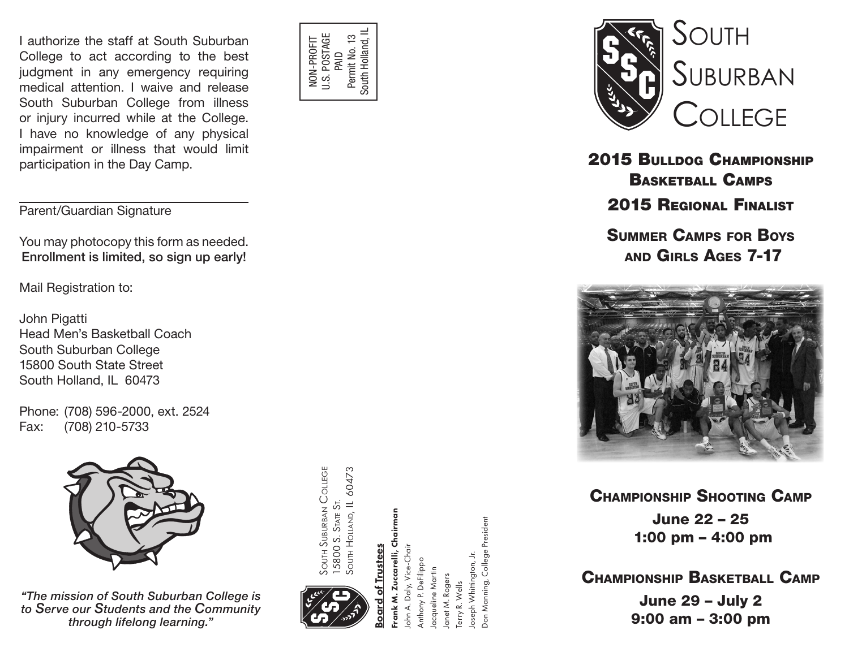I authorize the staff at South Suburban College to act according to the best judgment in any emergency requiring medical attention. I waive and release South Suburban College from illness or injury incurred while at the College. I have no knowledge of any physical impairment or illness that would limit participation in the Day Camp.

Parent/Guardian Signature

You may photocopy this form as needed. Enrollment is limited, so sign up early!

Mail Registration to:

John Pigatti Head Men's Basketball Coach South Suburban College 15800 South State Street South Holland, IL 60473

Phone: (708) 596-2000, ext. 2524 Fax: (708) 210-5733



*"The mission of South Suburban College is to Serve our Students and the Community through lifelong learning."*

**SOUTH SUBURBAN COLLEGE** South Suburban College SOUTH HOLLAND, IL 60473 South Holland, IL 60473 5800 S. STATE ST. 15800 S. State St.

NON-PROFIT U.S. POSTAGE

J.S. POSTAGE NON-PROFIT

PAID<br>Permit No. 13<br>South Holland, IL Permit No. 13 South Holland, IL



of Trustees Board of Trustees

rank M. Zuccarelli, Chairman Frank M. Zuccarelli, Chairman Don Manning, College President Don Manning, College President John A. Daly, Vice-Chair ohn A. Daly, Vice-Chai oseph Whittington, Jr. Joseph Whittington, Jr. unthony P. DeFilippo Anthony P. DeFilippo acqueline Martin Jacqueline Martin anet M. Rogers Janet M. Rogers erry R. Wells Terry R. Wells



2015 Bulldog Championship Basketball Camps 2015 Regional Finalist Summer Camps for Boys

and Girls Ages 7-17 l<br>i g



Champion ship Shootin g Camp June 22 – 25 1:00 pm – 4:00 pm

CHAMPIONSHIP BASKETBALL CAMP June 29 – July 2 9:00 am – 3:00 pm